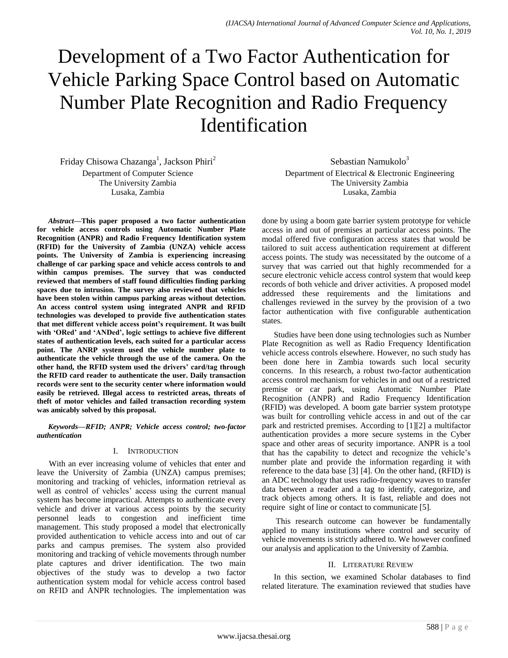# Development of a Two Factor Authentication for Vehicle Parking Space Control based on Automatic Number Plate Recognition and Radio Frequency Identification

Friday Chisowa Chazanga<sup>1</sup>, Jackson Phiri<sup>2</sup>

Department of Computer Science The University Zambia Lusaka, Zambia

*Abstract***—This paper proposed a two factor authentication for vehicle access controls using Automatic Number Plate Recognition (ANPR) and Radio Frequency Identification system (RFID) for the University of Zambia (UNZA) vehicle access points. The University of Zambia is experiencing increasing challenge of car parking space and vehicle access controls to and within campus premises. The survey that was conducted reviewed that members of staff found difficulties finding parking spaces due to intrusion. The survey also reviewed that vehicles have been stolen within campus parking areas without detection. An access control system using integrated ANPR and RFID technologies was developed to provide five authentication states that met different vehicle access point's requirement. It was built with 'ORed' and 'ANDed', logic settings to achieve five different states of authentication levels, each suited for a particular access point. The ANRP system used the vehicle number plate to authenticate the vehicle through the use of the camera. On the other hand, the RFID system used the drivers' card/tag through the RFID card reader to authenticate the user. Daily transaction records were sent to the security center where information would easily be retrieved. Illegal access to restricted areas, threats of theft of motor vehicles and failed transaction recording system was amicably solved by this proposal.**

*Keywords—RFID; ANPR; Vehicle access control; two-factor authentication*

## I. INTRODUCTION

With an ever increasing volume of vehicles that enter and leave the University of Zambia (UNZA) campus premises; monitoring and tracking of vehicles, information retrieval as well as control of vehicles' access using the current manual system has become impractical. Attempts to authenticate every vehicle and driver at various access points by the security personnel leads to congestion and inefficient time management. This study proposed a model that electronically provided authentication to vehicle access into and out of car parks and campus premises. The system also provided monitoring and tracking of vehicle movements through number plate captures and driver identification. The two main objectives of the study was to develop a two factor authentication system modal for vehicle access control based on RFID and ANPR technologies. The implementation was

Sebastian Namukolo $3$ Department of Electrical & Electronic Engineering The University Zambia Lusaka, Zambia

done by using a boom gate barrier system prototype for vehicle access in and out of premises at particular access points. The modal offered five configuration access states that would be tailored to suit access authentication requirement at different access points. The study was necessitated by the outcome of a survey that was carried out that highly recommended for a secure electronic vehicle access control system that would keep records of both vehicle and driver activities. A proposed model addressed these requirements and the limitations and challenges reviewed in the survey by the provision of a two factor authentication with five configurable authentication states.

Studies have been done using technologies such as Number Plate Recognition as well as Radio Frequency Identification vehicle access controls elsewhere. However, no such study has been done here in Zambia towards such local security concerns. In this research, a robust two-factor authentication access control mechanism for vehicles in and out of a restricted premise or car park, using Automatic Number Plate Recognition (ANPR) and Radio Frequency Identification (RFID) was developed. A boom gate barrier system prototype was built for controlling vehicle access in and out of the car park and restricted premises. According to [1][2] a multifactor authentication provides a more secure systems in the Cyber space and other areas of security importance. ANPR is a tool that has the capability to detect and recognize the vehicle"s number plate and provide the information regarding it with reference to the data base [3] [4]. On the other hand, (RFID) is an ADC technology that uses radio-frequency waves to transfer data between a reader and a tag to identify, categorize, and track objects among others. It is fast, reliable and does not require sight of line or contact to communicate [5].

This research outcome can however be fundamentally applied to many institutions where control and security of vehicle movements is strictly adhered to. We however confined our analysis and application to the University of Zambia.

#### II. LITERATURE REVIEW

In this section, we examined Scholar databases to find related literature. The examination reviewed that studies have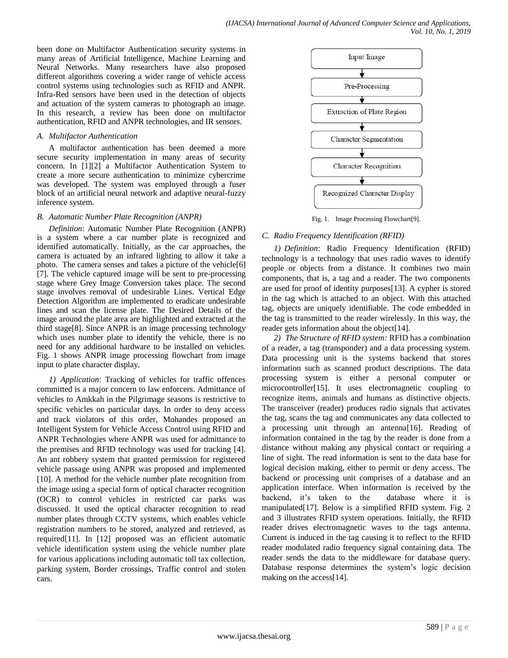been done on Multifactor Authentication security systems in many areas of Artificial Intelligence, Machine Learning and Neural Networks. Many researchers have also proposed different algorithms covering a wider range of vehicle access control systems using technologies such as RFID and ANPR. Infra-Red sensors have been used in the detection of objects and actuation of the system cameras to photograph an image. In this research, a review has been done on multifactor authentication, RFID and ANPR technologies, and IR sensors.

#### *A. Multifactor Authentication*

A multifactor authentication has been deemed a more secure security implementation in many areas of security concern. In [1][2] a Multifactor Authentication System to create a more secure authentication to minimize cybercrime was developed. The system was employed through a fuser block of an artificial neural network and adaptive neural-fuzzy inference system.

### *B. Automatic Number Plate Recognition (ANPR)*

*Definition*: Automatic Number Plate Recognition (ANPR) is a system where a car number plate is recognized and identified automatically. Initially, as the car approaches, the camera is actuated by an infrared lighting to allow it take a photo. The camera senses and takes a picture of the vehicle[6] [7]. The vehicle captured image will be sent to pre-processing stage where Grey Image Conversion takes place. The second stage involves removal of undesirable Lines. Vertical Edge Detection Algorithm are implemented to eradicate undesirable lines and scan the license plate. The Desired Details of the image around the plate area are highlighted and extracted at the third stage[8]. Since ANPR is an image processing technology which uses number plate to identify the vehicle, there is no need for any additional hardware to be installed on vehicles. Fig. 1 shows ANPR image processing flowchart from image input to plate character display.

*1) Application*: Tracking of vehicles for traffic offences committed is a major concern to law enforcers. Admittance of vehicles to Amkkah in the Pilgrimage seasons is restrictive to specific vehicles on particular days. In order to deny access and track violators of this order, Mohandes proposed an Intelligent System for Vehicle Access Control using RFID and ANPR Technologies where ANPR was used for admittance to the premises and RFID technology was used for tracking [4]. An ant robbery system that granted permission for registered vehicle passage using ANPR was proposed and implemented [10]. A method for the vehicle number plate recognition from the image using a special form of optical character recognition (OCR) to control vehicles in restricted car parks was discussed. It used the optical character recognition to read number plates through CCTV systems, which enables vehicle registration numbers to be stored, analyzed and retrieved, as required[11]. In [12] proposed was an efficient automatic vehicle identification system using the vehicle number plate for various applications including automatic toll tax collection, parking system, Border crossings, Traffic control and stolen cars.



Fig. 1. Image Processing Flowchart[9].

# *C. Radio Frequency Identification (RFID)*

*1) Definition*: Radio Frequency Identification (RFID) technology is a technology that uses radio waves to identify people or objects from a distance. It combines two main components, that is, a tag and a reader. The two components are used for proof of identity purposes[13]. A cypher is stored in the tag which is attached to an object. With this attached tag, objects are uniquely identifiable. The code embedded in the tag is transmitted to the reader wirelessly. In this way, the reader gets information about the object[14].

*2) The Structure of RFID system:* RFID has a combination of a reader, a tag (transponder) and a data processing system. Data processing unit is the systems backend that stores information such as scanned product descriptions. The data processing system is either a personal computer or microcontroller[15]. It uses electromagnetic coupling to recognize items, animals and humans as distinctive objects. The transceiver (reader) produces radio signals that activates the tag, scans the tag and communicates any data collected to a processing unit through an antenna[16]. Reading of information contained in the tag by the reader is done from a distance without making any physical contact or requiring a line of sight. The read information is sent to the data base for logical decision making, either to permit or deny access. The backend or processing unit comprises of a database and an application interface. When information is received by the backend, it"s taken to the database where it is manipulated[17]. Below is a simplified RFID system. Fig. 2 and 3 illustrates RFID system operations. Initially, the RFID reader drives electromagnetic waves to the tags antenna. Current is induced in the tag causing it to reflect to the RFID reader modulated radio frequency signal containing data. The reader sends the data to the middleware for database query. Database response determines the system"s logic decision making on the access[14].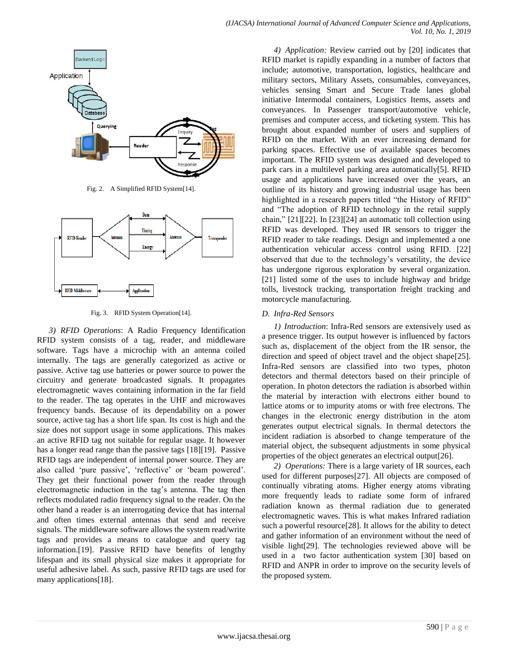

Fig. 2. A Simplified RFID System[14].



Fig. 3. RFID System Operation[14].

*3) RFID Operations*: A Radio Frequency Identification RFID system consists of a tag, reader, and middleware software. Tags have a microchip with an antenna coiled internally. The tags are generally categorized as active or passive. Active tag use batteries or power source to power the circuitry and generate broadcasted signals. It propagates electromagnetic waves containing information in the far field to the reader. The tag operates in the UHF and microwaves frequency bands. Because of its dependability on a power source, active tag has a short life span. Its cost is high and the size does not support usage in some applications. This makes an active RFID tag not suitable for regular usage. It however has a longer read range than the passive tags [18][19]. Passive RFID tags are independent of internal power source. They are also called 'pure passive', 'reflective' or 'beam powered'. They get their functional power from the reader through electromagnetic induction in the tag"s antenna. The tag then reflects modulated radio frequency signal to the reader. On the other hand a reader is an interrogating device that has internal and often times external antennas that send and receive signals. The middleware software allows the system read/write tags and provides a means to catalogue and query tag information.[19]. Passive RFID have benefits of lengthy lifespan and its small physical size makes it appropriate for useful adhesive label. As such, passive RFID tags are used for many applications[18].

*4) Application:* Review carried out by [20] indicates that RFID market is rapidly expanding in a number of factors that include; automotive, transportation, logistics, healthcare and military sectors, Military Assets, consumables, conveyances, vehicles sensing Smart and Secure Trade lanes global initiative Intermodal containers, Logistics Items, assets and conveyances. In Passenger transport/automotive vehicle, premises and computer access, and ticketing system. This has brought about expanded number of users and suppliers of RFID on the market. With an ever increasing demand for parking spaces. Effective use of available spaces becomes important. The RFID system was designed and developed to park cars in a multilevel parking area automatically[5]. RFID usage and applications have increased over the years, an outline of its history and growing industrial usage has been highlighted in a research papers titled "the History of RFID" and "The adoption of RFID technology in the retail supply chain," [21][22]. In [23][24] an automatic toll collection using RFID was developed. They used IR sensors to trigger the RFID reader to take readings. Design and implemented a one authentication vehicular access control using RFID. [22] observed that due to the technology"s versatility, the device has undergone rigorous exploration by several organization. [21] listed some of the uses to include highway and bridge tolls, livestock tracking, transportation freight tracking and motorcycle manufacturing.

# *D. Infra-Red Sensors*

*1) Introduction*: Infra-Red sensors are extensively used as a presence trigger. Its output however is influenced by factors such as, displacement of the object from the IR sensor, the direction and speed of object travel and the object shape[25]. Infra-Red sensors are classified into two types, photon detectors and thermal detectors based on their principle of operation. In photon detectors the radiation is absorbed within the material by interaction with electrons either bound to lattice atoms or to impurity atoms or with free electrons. The changes in the electronic energy distribution in the atom generates output electrical signals. In thermal detectors the incident radiation is absorbed to change temperature of the material object, the subsequent adjustments in some physical properties of the object generates an electrical output[26].

*2) Operations:* There is a large variety of IR sources, each used for different purposes[27]. All objects are composed of continually vibrating atoms. Higher energy atoms vibrating more frequently leads to radiate some form of infrared radiation known as thermal radiation due to generated electromagnetic waves. This is what makes Infrared radiation such a powerful resource[28]. It allows for the ability to detect and gather information of an environment without the need of visible light[29]. The technologies reviewed above will be used in a two factor authentication system [30] based on RFID and ANPR in order to improve on the security levels of the proposed system.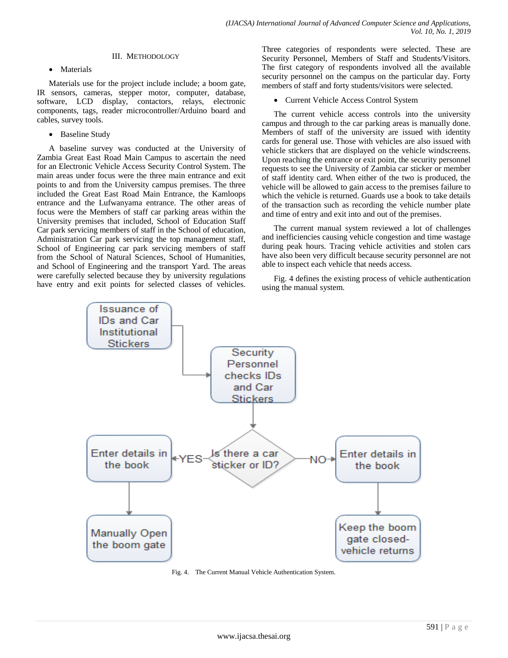### III. METHODOLOGY

• Materials

Materials use for the project include include; a boom gate, IR sensors, cameras, stepper motor, computer, database, software, LCD display, contactors, relays, electronic components, tags, reader microcontroller/Arduino board and cables, survey tools.

• Baseline Study

A baseline survey was conducted at the University of Zambia Great East Road Main Campus to ascertain the need for an Electronic Vehicle Access Security Control System. The main areas under focus were the three main entrance and exit points to and from the University campus premises. The three included the Great East Road Main Entrance, the Kamloops entrance and the Lufwanyama entrance. The other areas of focus were the Members of staff car parking areas within the University premises that included, School of Education Staff Car park servicing members of staff in the School of education, Administration Car park servicing the top management staff, School of Engineering car park servicing members of staff from the School of Natural Sciences, School of Humanities, and School of Engineering and the transport Yard. The areas were carefully selected because they by university regulations have entry and exit points for selected classes of vehicles. Three categories of respondents were selected. These are Security Personnel, Members of Staff and Students/Visitors. The first category of respondents involved all the available security personnel on the campus on the particular day. Forty members of staff and forty students/visitors were selected.

Current Vehicle Access Control System

The current vehicle access controls into the university campus and through to the car parking areas is manually done. Members of staff of the university are issued with identity cards for general use. Those with vehicles are also issued with vehicle stickers that are displayed on the vehicle windscreens. Upon reaching the entrance or exit point, the security personnel requests to see the University of Zambia car sticker or member of staff identity card. When either of the two is produced, the vehicle will be allowed to gain access to the premises failure to which the vehicle is returned. Guards use a book to take details of the transaction such as recording the vehicle number plate and time of entry and exit into and out of the premises.

The current manual system reviewed a lot of challenges and inefficiencies causing vehicle congestion and time wastage during peak hours. Tracing vehicle activities and stolen cars have also been very difficult because security personnel are not able to inspect each vehicle that needs access.

Fig. 4 defines the existing process of vehicle authentication using the manual system.



Fig. 4. The Current Manual Vehicle Authentication System.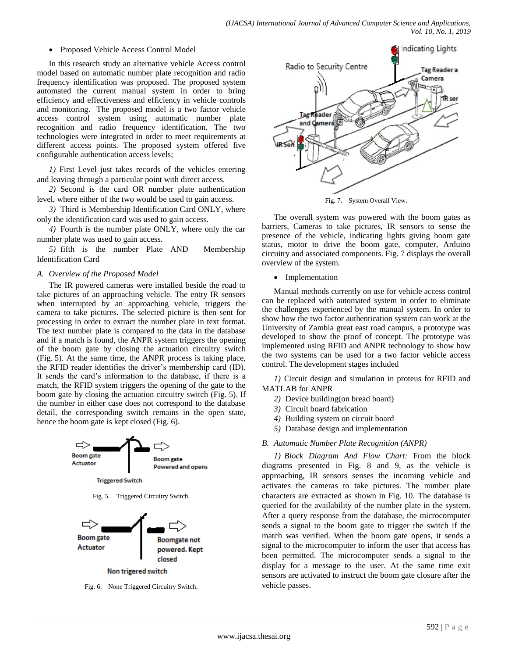#### Proposed Vehicle Access Control Model

In this research study an alternative vehicle Access control model based on automatic number plate recognition and radio frequency identification was proposed. The proposed system automated the current manual system in order to bring efficiency and effectiveness and efficiency in vehicle controls and monitoring. The proposed model is a two factor vehicle access control system using automatic number plate recognition and radio frequency identification. The two technologies were integrated in order to meet requirements at different access points. The proposed system offered five configurable authentication access levels;

*1)* First Level just takes records of the vehicles entering and leaving through a particular point with direct access.

*2)* Second is the card OR number plate authentication level, where either of the two would be used to gain access.

*3)* Third is Membership Identification Card ONLY, where only the identification card was used to gain access.

*4)* Fourth is the number plate ONLY, where only the car number plate was used to gain access.

*5)* fifth is the number Plate AND Membership Identification Card

### *A. Overview of the Proposed Model*

The IR powered cameras were installed beside the road to take pictures of an approaching vehicle. The entry IR sensors when interrupted by an approaching vehicle, triggers the camera to take pictures. The selected picture is then sent for processing in order to extract the number plate in text format. The text number plate is compared to the data in the database and if a match is found, the ANPR system triggers the opening of the boom gate by closing the actuation circuitry switch (Fig. 5). At the same time, the ANPR process is taking place, the RFID reader identifies the driver"s membership card (ID). It sends the card"s information to the database, if there is a match, the RFID system triggers the opening of the gate to the boom gate by closing the actuation circuitry switch (Fig. 5). If the number in either case does not correspond to the database detail, the corresponding switch remains in the open state, hence the boom gate is kept closed (Fig. 6).



Fig. 6. None Triggered Circuitry Switch.



Fig. 7. System Overall View.

The overall system was powered with the boom gates as barriers, Cameras to take pictures, IR sensors to sense the presence of the vehicle, indicating lights giving boom gate status, motor to drive the boom gate, computer, Arduino circuitry and associated components. Fig. 7 displays the overall overview of the system.

• Implementation

Manual methods currently on use for vehicle access control can be replaced with automated system in order to eliminate the challenges experienced by the manual system. In order to show how the two factor authentication system can work at the University of Zambia great east road campus, a prototype was developed to show the proof of concept. The prototype was implemented using RFID and ANPR technology to show how the two systems can be used for a two factor vehicle access control. The development stages included

*1)* Circuit design and simulation in proteus for RFID and MATLAB for ANPR

- *2)* Device building(on bread board)
- *3)* Circuit board fabrication
- *4)* Building system on circuit board
- *5)* Database design and implementation
- *B. Automatic Number Plate Recognition (ANPR)*

*1) Block Diagram And Flow Chart:* From the block diagrams presented in Fig. 8 and 9, as the vehicle is approaching, IR sensors senses the incoming vehicle and activates the cameras to take pictures. The number plate characters are extracted as shown in Fig. 10. The database is queried for the availability of the number plate in the system. After a query response from the database, the microcomputer sends a signal to the boom gate to trigger the switch if the match was verified. When the boom gate opens, it sends a signal to the microcomputer to inform the user that access has been permitted. The microcomputer sends a signal to the display for a message to the user. At the same time exit sensors are activated to instruct the boom gate closure after the vehicle passes.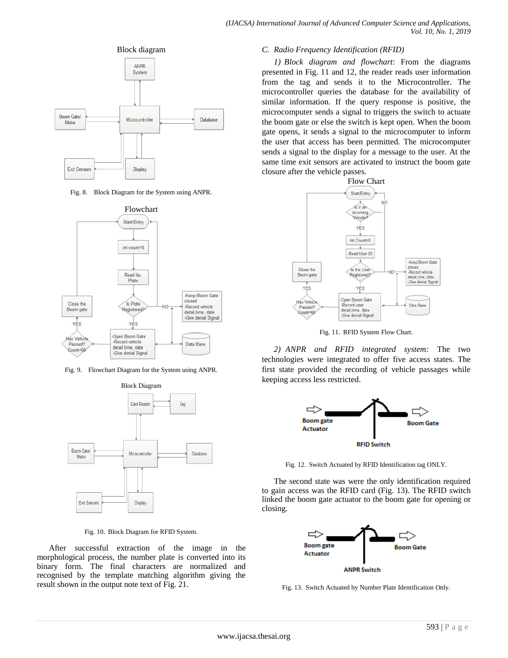



Fig. 8. Block Diagram for the System using ANPR.



Fig. 9. Flowchart Diagram for the System using ANPR.



Fig. 10. Block Diagram for RFID System.

After successful extraction of the image in the morphological process, the number plate is converted into its binary form. The final characters are normalized and recognised by the template matching algorithm giving the result shown in the output note text of Fig. 21.

#### *C. Radio Frequency Identification (RFID)*

*1) Block diagram and flowchart*: From the diagrams presented in Fig. 11 and 12, the reader reads user information from the tag and sends it to the Microcontroller. The microcontroller queries the database for the availability of similar information. If the query response is positive, the microcomputer sends a signal to triggers the switch to actuate the boom gate or else the switch is kept open. When the boom gate opens, it sends a signal to the microcomputer to inform the user that access has been permitted. The microcomputer sends a signal to the display for a message to the user. At the same time exit sensors are activated to instruct the boom gate closure after the vehicle passes.



Fig. 11. RFID System Flow Chart.

*2) ANPR and RFID integrated system:* The two technologies were integrated to offer five access states. The first state provided the recording of vehicle passages while keeping access less restricted.



Fig. 12. Switch Actuated by RFID Identification tag ONLY.

The second state was were the only identification required to gain access was the RFID card (Fig. 13). The RFID switch linked the boom gate actuator to the boom gate for opening or closing.



Fig. 13. Switch Actuated by Number Plate Identification Only.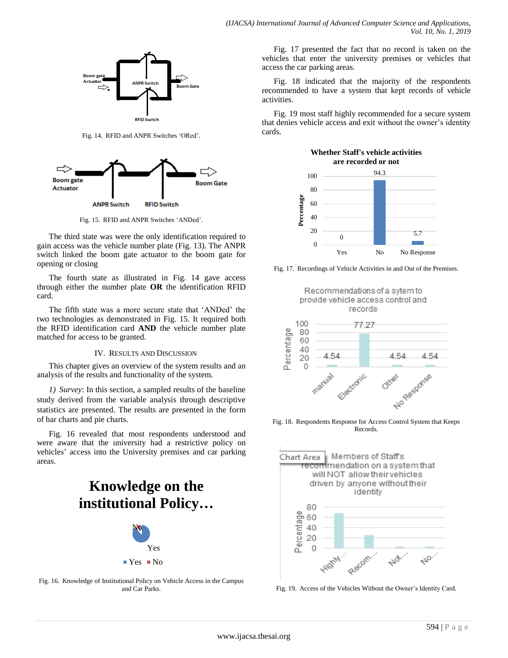

Fig. 14. RFID and ANPR Switches "ORed".



Fig. 15. RFID and ANPR Switches "ANDed".

The third state was were the only identification required to gain access was the vehicle number plate (Fig. 13). The ANPR switch linked the boom gate actuator to the boom gate for opening or closing

The fourth state as illustrated in Fig. 14 gave access through either the number plate **OR** the identification RFID card.

The fifth state was a more secure state that "ANDed" the two technologies as demonstrated in Fig. 15. It required both the RFID identification card **AND** the vehicle number plate matched for access to be granted.

#### IV. RESULTS AND DISCUSSION

This chapter gives an overview of the system results and an analysis of the results and functionality of the system.

*1) Survey*: In this section, a sampled results of the baseline study derived from the variable analysis through descriptive statistics are presented. The results are presented in the form of bar charts and pie charts.

Fig. 16 revealed that most respondents understood and were aware that the university had a restrictive policy on vehicles' access into the University premises and car parking areas.

# Yes No **Knowledge on the**  institutional Policy...



 $Yes$  No

Fig. 17 presented the fact that no record is taken on the vehicles that enter the university premises or vehicles that access the car parking areas.

Fig. 18 indicated that the majority of the respondents recommended to have a system that kept records of vehicle activities.

Fig. 19 most staff highly recommended for a secure system that denies vehicle access and exit without the owner"s identity cards.



Fig. 17. Recordings of Vehicle Activities in and Out of the Premises.



Fig. 18. Respondents Response for Access Control System that Keeps Records.



Fig. 19. Access of the Vehicles Without the Owner"s Identity Card.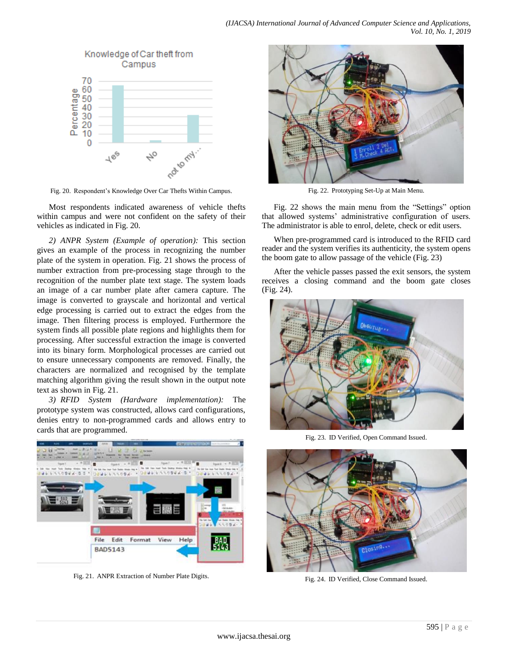

Fig. 20. Respondent"s Knowledge Over Car Thefts Within Campus.

Most respondents indicated awareness of vehicle thefts within campus and were not confident on the safety of their vehicles as indicated in Fig. 20.

*2) ANPR System (Example of operation):* This section gives an example of the process in recognizing the number plate of the system in operation. Fig. 21 shows the process of number extraction from pre-processing stage through to the recognition of the number plate text stage. The system loads an image of a car number plate after camera capture. The image is converted to grayscale and horizontal and vertical edge processing is carried out to extract the edges from the image. Then filtering process is employed. Furthermore the system finds all possible plate regions and highlights them for processing. After successful extraction the image is converted into its binary form. Morphological processes are carried out to ensure unnecessary components are removed. Finally, the characters are normalized and recognised by the template matching algorithm giving the result shown in the output note text as shown in Fig. 21.

*3) RFID System (Hardware implementation):* The prototype system was constructed, allows card configurations, denies entry to non-programmed cards and allows entry to cards that are programmed.



Fig. 21. ANPR Extraction of Number Plate Digits.



Fig. 22. Prototyping Set-Up at Main Menu.

Fig. 22 shows the main menu from the "Settings" option that allowed systems" administrative configuration of users. The administrator is able to enrol, delete, check or edit users.

When pre-programmed card is introduced to the RFID card reader and the system verifies its authenticity, the system opens the boom gate to allow passage of the vehicle (Fig. 23)

After the vehicle passes passed the exit sensors, the system receives a closing command and the boom gate closes (Fig. 24).



Fig. 23. ID Verified, Open Command Issued.



Fig. 24. ID Verified, Close Command Issued.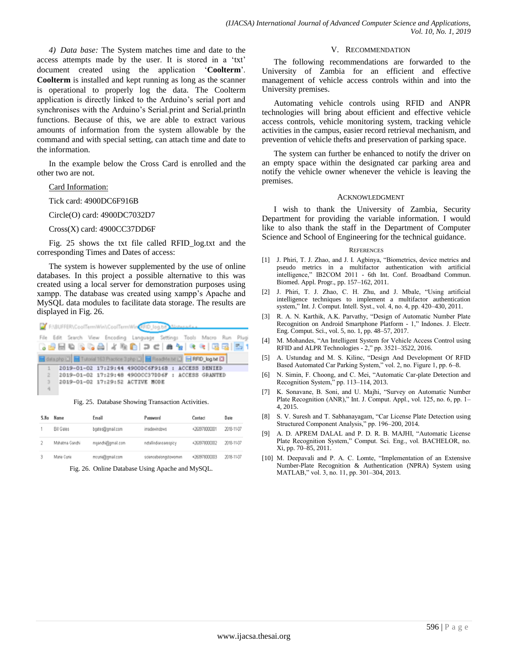*4) Data base:* The System matches time and date to the access attempts made by the user. It is stored in a 'txt' document created using the application "**Coolterm**". **Coolterm** is installed and kept running as long as the scanner is operational to properly log the data. The Coolterm application is directly linked to the Arduino's serial port and synchronises with the Arduino's Serial.print and Serial.println functions. Because of this, we are able to extract various amounts of information from the system allowable by the command and with special setting, can attach time and date to the information.

In the example below the Cross Card is enrolled and the other two are not.

#### Card Information:

Tick card: 4900DC6F916B

Circle(O) card: 4900DC7032D7

Cross(X) card: 4900CC37DD6F

Fig. 25 shows the txt file called RFID\_log.txt and the corresponding Times and Dates of access:

The system is however supplemented by the use of online databases. In this project a possible alternative to this was created using a local server for demonstration purposes using xampp. The database was created using xampp"s Apache and MySQL data modules to facilitate data storage. The results are displayed in Fig. 26.



Fig. 25. Database Showing Transaction Activities.

| S.No | Name              | Email             | Password              | Contact       | Date       |
|------|-------------------|-------------------|-----------------------|---------------|------------|
|      | <b>Bill Gates</b> | bgates@gmail.com  | imadewindows          | +260978000001 | 2018-11-07 |
|      | Mahatma Gandhi    | mgandhi@gmail.com | notallindiansarespicy | +260978000002 | 2018-11-07 |
|      | Marie Curie       | mcurie@gmail.com  | sciencebelongstowomen | +260978000003 | 2018-11-07 |

Fig. 26. Online Database Using Apache and MySQL.

#### V. RECOMMENDATION

The following recommendations are forwarded to the University of Zambia for an efficient and effective management of vehicle access controls within and into the University premises.

Automating vehicle controls using RFID and ANPR technologies will bring about efficient and effective vehicle access controls, vehicle monitoring system, tracking vehicle activities in the campus, easier record retrieval mechanism, and prevention of vehicle thefts and preservation of parking space.

The system can further be enhanced to notify the driver on an empty space within the designated car parking area and notify the vehicle owner whenever the vehicle is leaving the premises.

#### ACKNOWLEDGMENT

I wish to thank the University of Zambia, Security Department for providing the variable information. I would like to also thank the staff in the Department of Computer Science and School of Engineering for the technical guidance.

#### **REFERENCES**

- [1] J. Phiri, T. J. Zhao, and J. I. Agbinya, "Biometrics, device metrics and pseudo metrics in a multifactor authentication with artificial intelligence," IB2COM 2011 - 6th Int. Conf. Broadband Commun. Biomed. Appl. Progr., pp. 157–162, 2011.
- [2] J. Phiri, T. J. Zhao, C. H. Zhu, and J. Mbale, "Using artificial intelligence techniques to implement a multifactor authentication system," Int. J. Comput. Intell. Syst., vol. 4, no. 4, pp. 420–430, 2011.
- [3] R. A. N. Karthik, A.K. Parvathy, "Design of Automatic Number Plate Recognition on Android Smartphone Platform - 1," Indones. J. Electr. Eng. Comput. Sci., vol. 5, no. 1, pp. 48–57, 2017.
- [4] M. Mohandes, "An Intelligent System for Vehicle Access Control using RFID and ALPR Technologies - 2," pp. 3521–3522, 2016.
- [5] A. Ustundag and M. S. Kilinc, "Design And Development Of RFID Based Automated Car Parking System," vol. 2, no. Figure 1, pp. 6–8.
- [6] N. Simin, F. Choong, and C. Mei, "Automatic Car-plate Detection and Recognition System," pp. 113–114, 2013.
- [7] K. Sonavane, B. Soni, and U. Majhi, "Survey on Automatic Number Plate Recognition (ANR)," Int. J. Comput. Appl., vol. 125, no. 6, pp. 1– 4, 2015.
- [8] S. V. Suresh and T. Sabhanayagam, "Car License Plate Detection using Structured Component Analysis," pp. 196–200, 2014.
- [9] A. D. APREM DALAL and P. D. R. B. MAJHI, "Automatic License Plate Recognition System," Comput. Sci. Eng., vol. BACHELOR, no. Xi, pp. 70–85, 2011.
- [10] M. Deepavali and P. A. C. Lomte, "Implementation of an Extensive Number-Plate Recognition & Authentication (NPRA) System using MATLAB," vol. 3, no. 11, pp. 301–304, 2013.